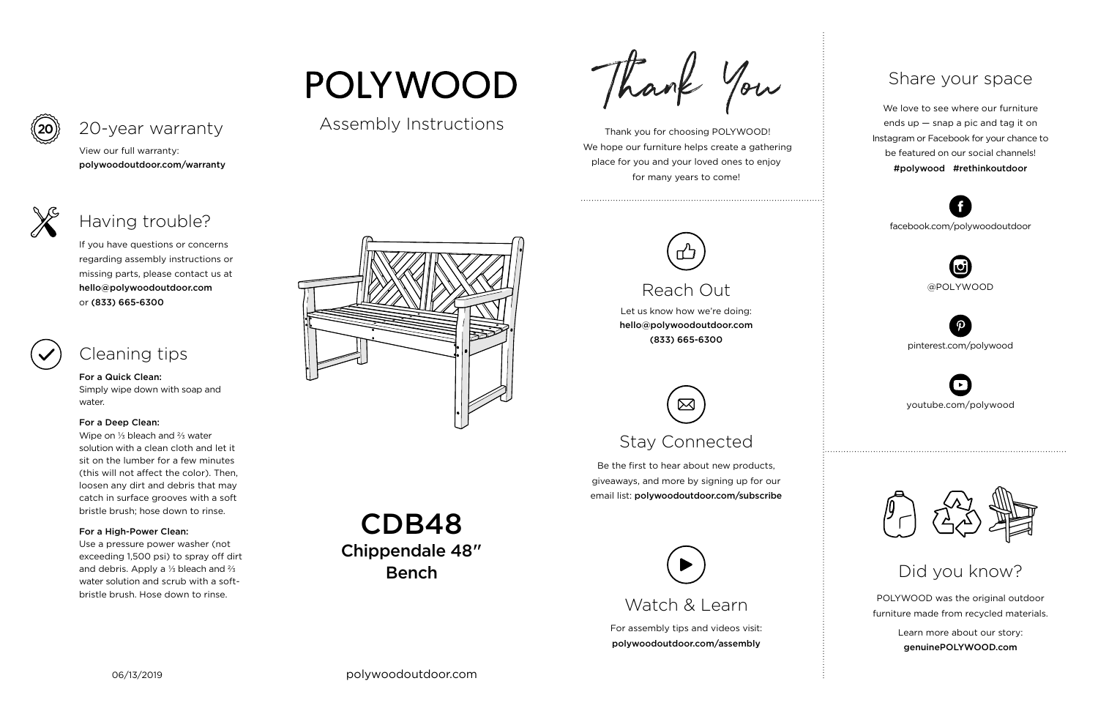

For assembly tips and videos visit: polywoodoutdoor.com/assembly

 Thank you for choosing POLYWOOD! We hope our furniture helps create a gathering place for you and your loved ones to enjoy for many years to come!



Let us know how we're doing: hello@polywoodoutdoor.com (833) 665-6300

Be the first to hear about new products, giveaways, and more by signing up for our email list: polywoodoutdoor.com/subscribe

> POLYWOOD was the original outdoor furniture made from recycled materials.

> > Learn more about our story: genuinePOLYWOOD.com

We love to see where our furniture ends up — snap a pic and tag it on Instagram or Facebook for your chance to be featured on our social channels! #polywood #rethinkoutdoor



youtube.com/polywood



pinterest.com/polywood



facebook.com/polywoodoutdoor





Assembly Instructions

**POLYWOOD** 



# Reach Out

# Stay Connected

## Share your space

Did you know?

View our full warranty: polywoodoutdoor.com/warranty

## For a Quick Clean:

Simply wipe down with soap and water.

### For a Deep Clean:

Wipe on ⅓ bleach and ⅔ water solution with a clean cloth and let it sit on the lumber for a few minutes (this will not affect the color). Then, loosen any dirt and debris that may catch in surface grooves with a soft bristle brush; hose down to rinse.

## For a High-Power Clean:

Use a pressure power washer (not exceeding 1,500 psi) to spray off dirt and debris. Apply a ⅓ bleach and ⅔ water solution and scrub with a softbristle brush. Hose down to rinse.

Thank You

If you have questions or concerns regarding assembly instructions or missing parts, please contact us at hello@polywoodoutdoor.com or (833) 665-6300

# 20-year warranty

# Having trouble?

# Cleaning tips

CDB48 Chippendale 48" Bench